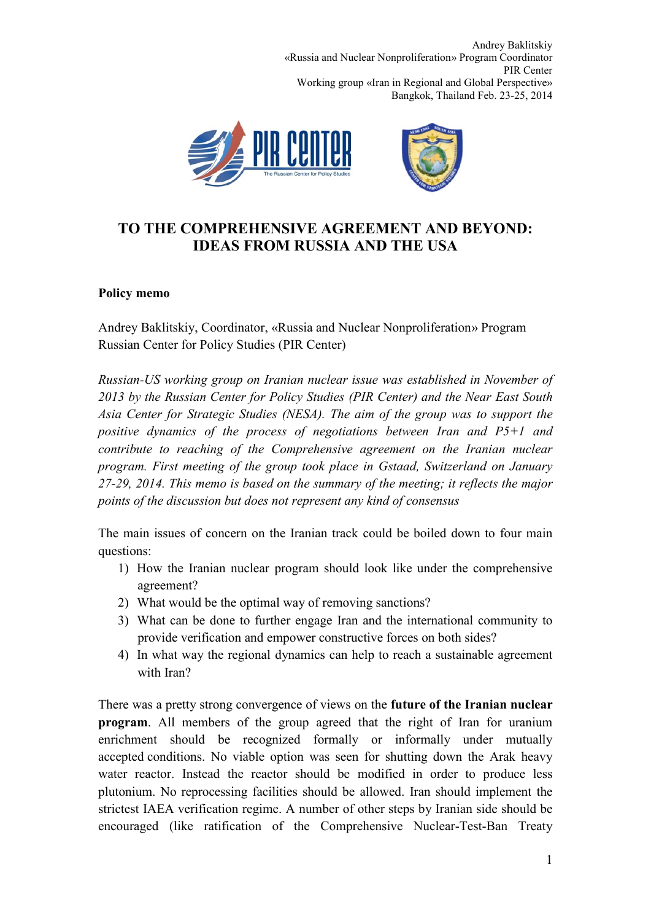Andrey Baklitskiy «Russia and Nuclear Nonproliferation» Program Coordinator PIR Center Working group «Iran in Regional and Global Perspective» Bangkok, Thailand Feb. 23-25, 2014



## **TO THE COMPREHENSIVE AGREEMENT AND BEYOND: IDEAS FROM RUSSIA AND THE USA**

## **Policy memo**

Andrey Baklitskiy, Coordinator, «Russia and Nuclear Nonproliferation» Program Russian Center for Policy Studies (PIR Center)

*Russian-US working group on Iranian nuclear issue was established in November of 2013 by the Russian Center for Policy Studies (PIR Center) and the Near East South Asia Center for Strategic Studies (NESA). The aim of the group was to support the positive dynamics of the process of negotiations between Iran and P5+1 and contribute to reaching of the Comprehensive agreement on the Iranian nuclear program. First meeting of the group took place in Gstaad, Switzerland on January 27-29, 2014. This memo is based on the summary of the meeting; it reflects the major points of the discussion but does not represent any kind of consensus*

The main issues of concern on the Iranian track could be boiled down to four main questions:

- 1) How the Iranian nuclear program should look like under the comprehensive agreement?
- 2) What would be the optimal way of removing sanctions?
- 3) What can be done to further engage Iran and the international community to provide verification and empower constructive forces on both sides?
- 4) In what way the regional dynamics can help to reach a sustainable agreement with Iran?

There was a pretty strong convergence of views on the **future of the Iranian nuclear program**. All members of the group agreed that the right of Iran for uranium enrichment should be recognized formally or informally under mutually accepted conditions. No viable option was seen for shutting down the Arak heavy water reactor. Instead the reactor should be modified in order to produce less plutonium. No reprocessing facilities should be allowed. Iran should implement the strictest IAEA verification regime. A number of other steps by Iranian side should be encouraged (like ratification of the Comprehensive Nuclear-Test-Ban Treaty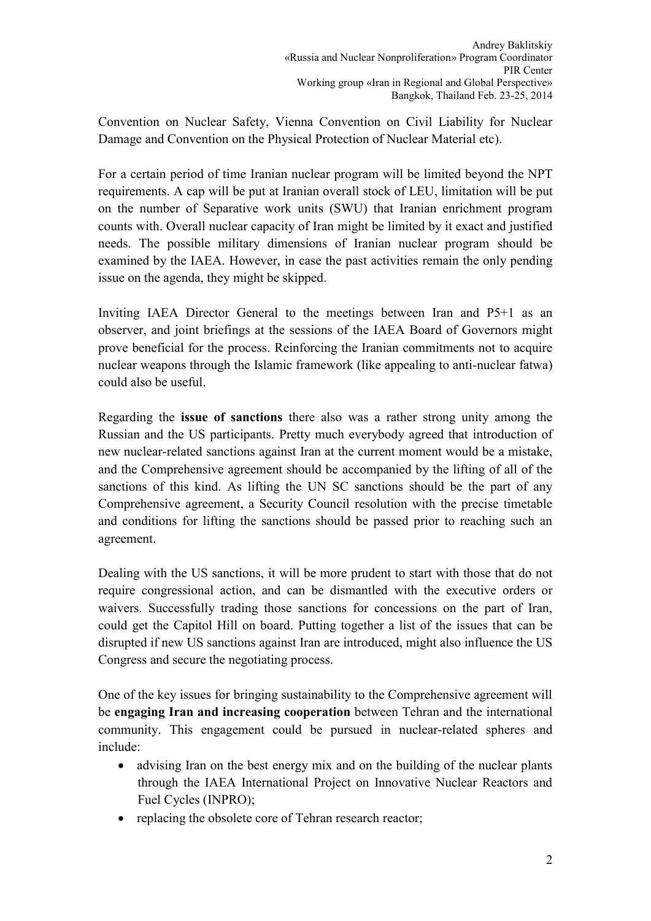Convention on Nuclear Safety, Vienna Convention on Civil Liability for Nuclear Damage and Convention on the Physical Protection of Nuclear Material etc).

For a certain period of time Iranian nuclear program will be limited beyond the NPT requirements. A cap will be put at Iranian overall stock of LEU, limitation will be put on the number of Separative work units (SWU) that Iranian enrichment program counts with. Overall nuclear capacity of Iran might be limited by it exact and justified needs. The possible military dimensions of Iranian nuclear program should be examined by the IAEA. However, in case the past activities remain the only pending issue on the agenda, they might be skipped.

Inviting IAEA Director General to the meetings between Iran and P5+1 as an observer, and joint briefings at the sessions of the IAEA Board of Governors might prove beneficial for the process. Reinforcing the Iranian commitments not to acquire nuclear weapons through the Islamic framework (like appealing to anti-nuclear fatwa) could also be useful.

Regarding the **issue of sanctions** there also was a rather strong unity among the Russian and the US participants. Pretty much everybody agreed that introduction of new nuclear-related sanctions against Iran at the current moment would be a mistake, and the Comprehensive agreement should be accompanied by the lifting of all of the sanctions of this kind. As lifting the UN SC sanctions should be the part of any Comprehensive agreement, a Security Council resolution with the precise timetable and conditions for lifting the sanctions should be passed prior to reaching such an agreement.

Dealing with the US sanctions, it will be more prudent to start with those that do not require congressional action, and can be dismantled with the executive orders or waivers. Successfully trading those sanctions for concessions on the part of Iran, could get the Capitol Hill on board. Putting together a list of the issues that can be disrupted if new US sanctions against Iran are introduced, might also influence the US Congress and secure the negotiating process.

One of the key issues for bringing sustainability to the Comprehensive agreement will be **engaging Iran and increasing cooperation** between Tehran and the international community. This engagement could be pursued in nuclear-related spheres and include:

- advising Iran on the best energy mix and on the building of the nuclear plants through the IAEA International Project on Innovative Nuclear Reactors and Fuel Cycles (INPRO);
- replacing the obsolete core of Tehran research reactor;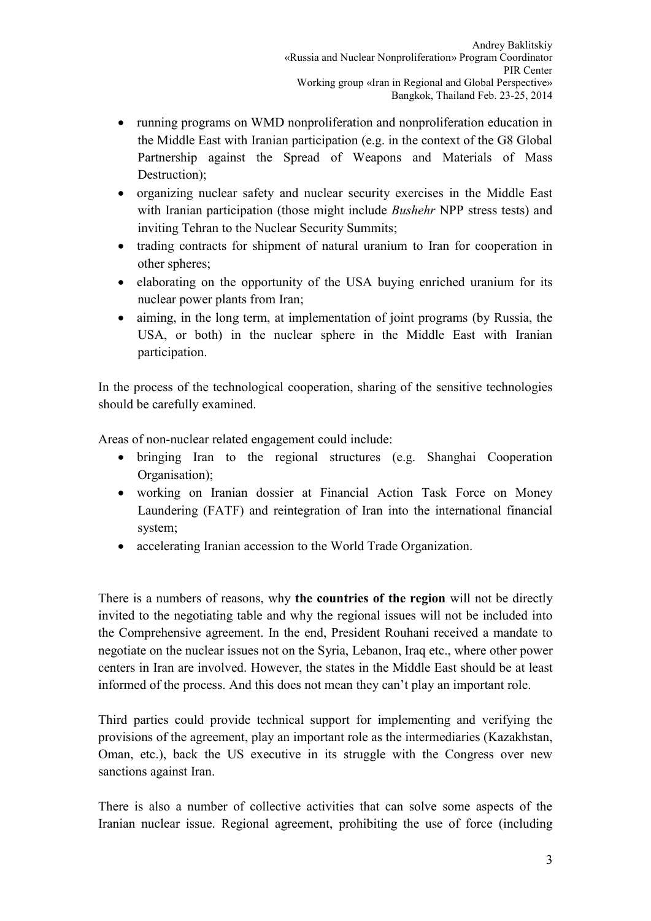- running programs on WMD nonproliferation and nonproliferation education in the Middle East with Iranian participation (e.g. in the context of the G8 Global Partnership against the Spread of Weapons and Materials of Mass Destruction);
- organizing nuclear safety and nuclear security exercises in the Middle East with Iranian participation (those might include *Bushehr* NPP stress tests) and inviting Tehran to the Nuclear Security Summits;
- trading contracts for shipment of natural uranium to Iran for cooperation in other spheres;
- elaborating on the opportunity of the USA buying enriched uranium for its nuclear power plants from Iran;
- aiming, in the long term, at implementation of joint programs (by Russia, the USA, or both) in the nuclear sphere in the Middle East with Iranian participation.

In the process of the technological cooperation, sharing of the sensitive technologies should be carefully examined.

Areas of non-nuclear related engagement could include:

- bringing Iran to the regional structures (e.g. Shanghai Cooperation Organisation);
- working on Iranian dossier at Financial Action Task Force on Money Laundering (FATF) and reintegration of Iran into the international financial system;
- accelerating Iranian accession to the World Trade Organization.

There is a numbers of reasons, why **the countries of the region** will not be directly invited to the negotiating table and why the regional issues will not be included into the Comprehensive agreement. In the end, President Rouhani received a mandate to negotiate on the nuclear issues not on the Syria, Lebanon, Iraq etc., where other power centers in Iran are involved. However, the states in the Middle East should be at least informed of the process. And this does not mean they can't play an important role.

Third parties could provide technical support for implementing and verifying the provisions of the agreement, play an important role as the intermediaries (Kazakhstan, Oman, etc.), back the US executive in its struggle with the Congress over new sanctions against Iran.

There is also a number of collective activities that can solve some aspects of the Iranian nuclear issue. Regional agreement, prohibiting the use of force (including